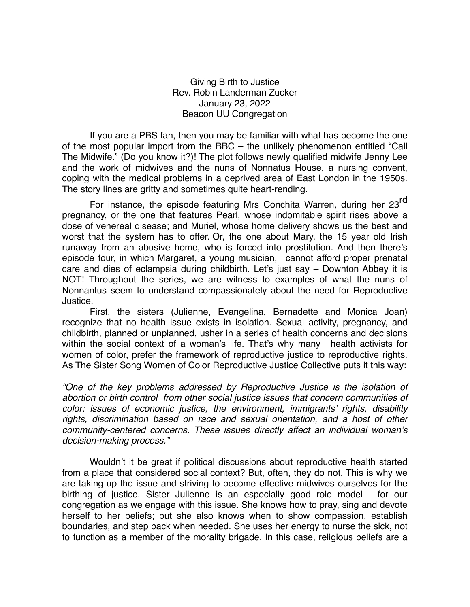Giving Birth to Justice Rev. Robin Landerman Zucker January 23, 2022 Beacon UU Congregation

If you are a PBS fan, then you may be familiar with what has become the one of the most popular import from the BBC – the unlikely phenomenon entitled "Call The Midwife." (Do you know it?)! The plot follows newly qualified midwife Jenny Lee and the work of midwives and the nuns of [Nonnatus](http://en.wikipedia.org/wiki/Raymond_Nonnatus) House, a nursing convent, coping with the medical problems in a deprived area of East London in the 1950s. The story lines are gritty and sometimes quite heart-rending.

For instance, the episode featuring Mrs Conchita Warren, during her 23<sup>rd</sup> pregnancy, or the one that features Pearl, whose indomitable spirit rises above a dose of venereal disease; and Muriel, whose home delivery shows us the best and worst that the system has to offer. Or, the one about Mary, the 15 year old Irish runaway from an abusive home, who is forced into prostitution. And then there's episode four, in which Margaret, a young musician, cannot afford proper prenatal care and dies of eclampsia during childbirth. Let's just say – Downton Abbey it is NOT! Throughout the series, we are witness to examples of what the nuns of Nonnantus seem to understand compassionately about the need for Reproductive Justice.

First, the sisters (Julienne, Evangelina, Bernadette and Monica Joan) recognize that no health issue exists in isolation. Sexual activity, pregnancy, and childbirth, planned or unplanned, usher in a series of health concerns and decisions within the social context of a woman's life. That's why many health activists for women of color, prefer the framework of reproductive justice to reproductive rights. As The [Sister Song Women of Color Reproductive Justice Collective](http://www.sistersong.net/) puts it this way:

*"One of the key problems addressed by Reproductive Justice is the isolation of abortion or birth control from other social justice issues that concern communities of color: issues of economic justice, the environment, immigrants' rights, disability rights, discrimination based on race and sexual orientation, and a host of other community-centered concerns. These issues directly affect an individual woman's decision-making process."*

Wouldn't it be great if political discussions about reproductive health started from a place that considered social context? But, often, they do not. This is why we are taking up the issue and striving to become effective midwives ourselves for the birthing of justice. Sister Julienne is an especially good role model for our congregation as we engage with this issue. She knows how to pray, sing and devote herself to her beliefs; but she also knows when to show compassion, establish boundaries, and step back when needed. She uses her energy to nurse the sick, not to function as a member of the morality brigade. In this case, religious beliefs are a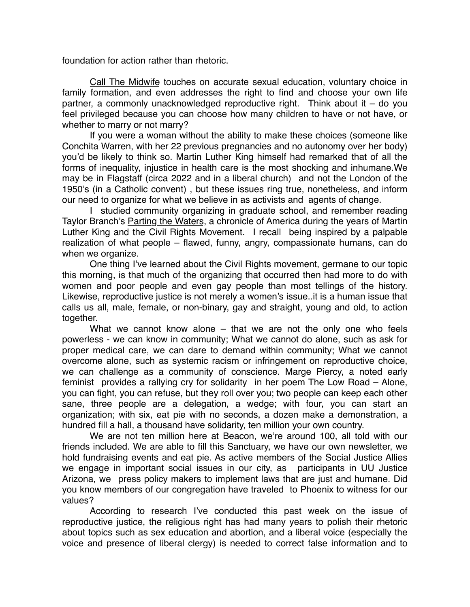foundation for action rather than rhetoric.

Call The Midwife touches on accurate sexual education, voluntary choice in family formation, and even addresses the right to find and choose your own life partner, a commonly unacknowledged reproductive right. Think about it – do you feel privileged because you can choose how many children to have or not have, or whether to marry or not marry?

If you were a woman without the ability to make these choices (someone like Conchita Warren, with her 22 previous pregnancies and no autonomy over her body) you'd be likely to think so. Martin Luther King himself had remarked that of all the forms of inequality, injustice in health care is the most shocking and inhumane.We may be in Flagstaff (circa 2022 and in a liberal church) and not the London of the 1950's (in a Catholic convent) , but these issues ring true, nonetheless, and inform our need to organize for what we believe in as activists and agents of change.

I studied community organizing in graduate school, and remember reading Taylor Branch's Parting the Waters, a chronicle of America during the years of Martin Luther King and the Civil Rights Movement. I recall being inspired by a palpable realization of what people – flawed, funny, angry, compassionate humans, can do when we organize.

One thing I've learned about the Civil Rights movement, germane to our topic this morning, is that much of the organizing that occurred then had more to do with women and poor people and even gay people than most tellings of the history. Likewise, reproductive justice is not merely a women's issue..it is a human issue that calls us all, male, female, or non-binary, gay and straight, young and old, to action together.

What we cannot know alone – that we are not the only one who feels powerless - we can know in community; What we cannot do alone, such as ask for proper medical care, we can dare to demand within community; What we cannot overcome alone, such as systemic racism or infringement on reproductive choice, we can challenge as a community of conscience. Marge Piercy, a noted early feminist provides a rallying cry for solidarity in her poem The Low Road – Alone, you can fight, you can refuse, but they roll over you; two people can keep each other sane, three people are a delegation, a wedge; with four, you can start an organization; with six, eat pie with no seconds, a dozen make a demonstration, a hundred fill a hall, a thousand have solidarity, ten million your own country.

We are not ten million here at Beacon, we're around 100, all told with our friends included. We are able to fill this Sanctuary, we have our own newsletter, we hold fundraising events and eat pie. As active members of the Social Justice Allies we engage in important social issues in our city, as participants in UU Justice Arizona, we press policy makers to implement laws that are just and humane. Did you know members of our congregation have traveled to Phoenix to witness for our values?

According to research I've conducted this past week on the issue of reproductive justice, the religious right has had many years to polish their rhetoric about topics such as sex education and abortion, and a liberal voice (especially the voice and presence of liberal clergy) is needed to correct false information and to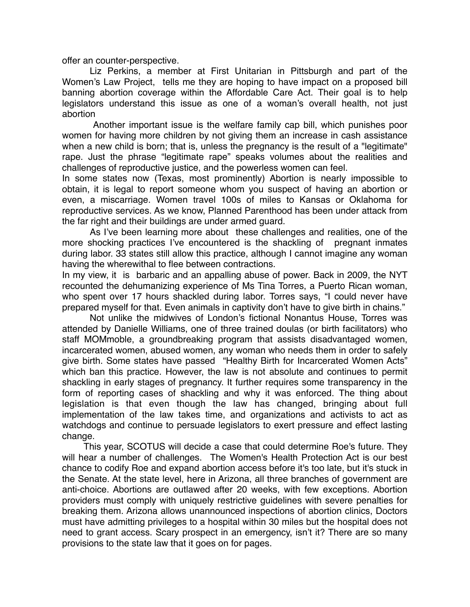offer an counter-perspective.

Liz Perkins, a member at First Unitarian in Pittsburgh and part of the Women's Law Project, tells me they are hoping to have impact on a proposed bill banning abortion coverage within the Affordable Care Act. Their goal is to help legislators understand this issue as one of a woman's overall health, not just abortion

 Another important issue is the welfare family cap bill, which punishes poor women for having more children by not giving them an increase in cash assistance when a new child is born; that is, unless the pregnancy is the result of a "legitimate" rape. Just the phrase "legitimate rape" speaks volumes about the realities and challenges of reproductive justice, and the powerless women can feel.

In some states now (Texas, most prominently) Abortion is nearly impossible to obtain, it is legal to report someone whom you suspect of having an abortion or even, a miscarriage. Women travel 100s of miles to Kansas or Oklahoma for reproductive services. As we know, Planned Parenthood has been under attack from the far right and their buildings are under armed guard.

As I've been learning more about these challenges and realities, one of the more shocking practices I've encountered is the shackling of pregnant inmates during labor. 33 states still allow this practice, although I cannot imagine any woman having the wherewithal to flee between contractions.

In my view, it is barbaric and an appalling abuse of power. Back in 2009, the NYT recounted the dehumanizing experience of Ms Tina Torres, a Puerto Rican woman, who spent over 17 hours shackled during labor. Torres says, "I could never have prepared myself for that. Even animals in captivity don't have to give birth in chains."

Not unlike the midwives of London's fictional Nonantus House, Torres was attended by Danielle Williams, one of three trained doulas (or birth facilitators) who staff MOMmoble, a groundbreaking program that assists disadvantaged women, incarcerated women, abused women, any woman who needs them in order to safely give birth. Some states have passed "Healthy Birth for Incarcerated Women Acts" which ban this practice. However, the law is not absolute and continues to permit shackling in early stages of pregnancy. It further requires some transparency in the form of reporting cases of shackling and why it was enforced. The thing about legislation is that even though the law has changed, bringing about full implementation of the law takes time, and organizations and activists to act as watchdogs and continue to persuade legislators to exert pressure and effect lasting change.

This year, SCOTUS will decide a case that could determine Roe's future. They will hear a number of challenges. The Women's Health Protection Act is our best chance to codify Roe and expand abortion access before it's too late, but it's stuck in the Senate. At the state level, here in Arizona, all three branches of government are anti-choice. Abortions are outlawed after 20 weeks, with few exceptions. Abortion providers must comply with uniquely restrictive guidelines with severe penalties for breaking them. Arizona allows unannounced inspections of abortion clinics, Doctors must have admitting privileges to a hospital within 30 miles but the hospital does not need to grant access. Scary prospect in an emergency, isn't it? There are so many provisions to the state law that it goes on for pages.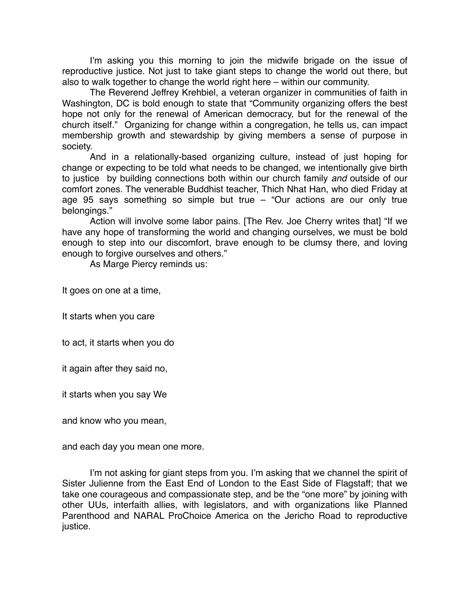I'm asking you this morning to join the midwife brigade on the issue of reproductive justice. Not just to take giant steps to change the world out there, but also to walk together to change the world right here – within our community.

The Reverend Jeffrey Krehbiel, a veteran organizer in communities of faith in Washington, DC is bold enough to state that "Community organizing offers the best hope not only for the renewal of American democracy, but for the renewal of the church itself." Organizing for change within a congregation, he tells us, can impact membership growth and stewardship by giving members a sense of purpose in society.

And in a relationally-based organizing culture, instead of just hoping for change or expecting to be told what needs to be changed, we intentionally give birth to justice by building connections both within our church family *and* outside of our comfort zones. The venerable Buddhist teacher, Thich Nhat Han, who died Friday at age 95 says something so simple but true – "Our actions are our only true belongings."

Action will involve some labor pains. [The Rev. Joe Cherry writes that] "If we have any hope of transforming the world and changing ourselves, we must be bold enough to step into our discomfort, brave enough to be clumsy there, and loving enough to forgive ourselves and others."

As Marge Piercy reminds us:

It goes on one at a time,

It starts when you care

to act, it starts when you do

it again after they said no,

it starts when you say We

and know who you mean,

and each day you mean one more.

I'm not asking for giant steps from you. I'm asking that we channel the spirit of Sister Julienne from the East End of London to the East Side of Flagstaff; that we take one courageous and compassionate step, and be the "one more" by joining with other UUs, interfaith allies, with legislators, and with organizations like Planned Parenthood and NARAL ProChoice America on the Jericho Road to reproductive justice.